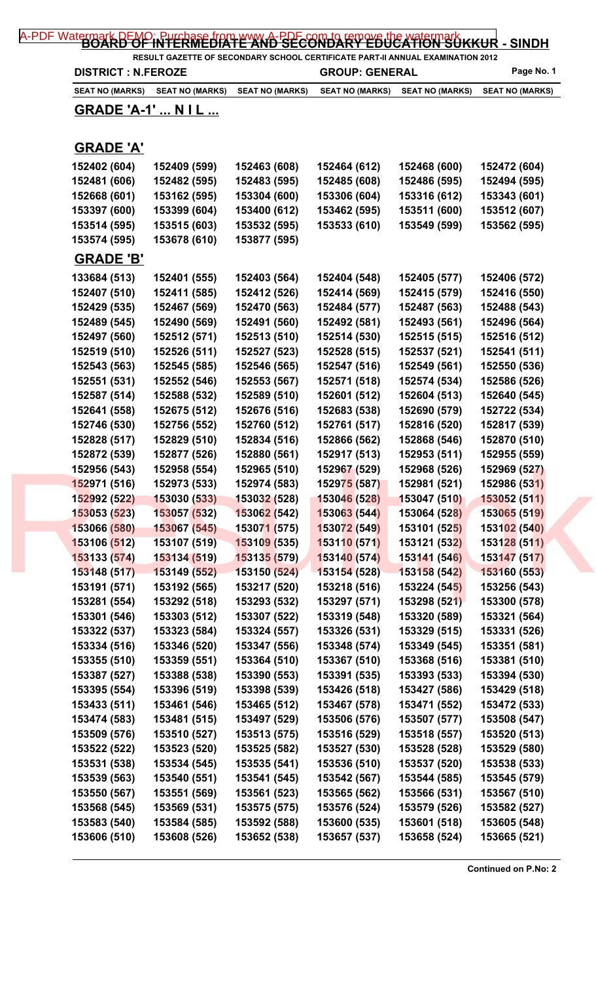| <b>DISTRICT : N.FEROZE</b> |                                 |                              | RESULT GAZETTE OF SECONDARY SCHOOL CERTIFICATE PART-II ANNUAL EXAMINATION 2012<br><b>GROUP: GENERAL</b> |                              | Page No. 1             |  |
|----------------------------|---------------------------------|------------------------------|---------------------------------------------------------------------------------------------------------|------------------------------|------------------------|--|
|                            | SEAT NO (MARKS) SEAT NO (MARKS) | <b>SEAT NO (MARKS)</b>       | <b>SEAT NO (MARKS)</b>                                                                                  | <b>SEAT NO (MARKS)</b>       | <b>SEAT NO (MARKS)</b> |  |
| <u>GRADE 'A-1'  N I L </u> |                                 |                              |                                                                                                         |                              |                        |  |
| <b>GRADE 'A'</b>           |                                 |                              |                                                                                                         |                              |                        |  |
| 152402 (604)               | 152409 (599)                    | 152463 (608)                 | 152464 (612)                                                                                            | 152468 (600)                 | 152472 (604)           |  |
| 152481 (606)               | 152482 (595)                    | 152483 (595)                 | 152485 (608)                                                                                            | 152486 (595)                 | 152494 (595)           |  |
| 152668 (601)               | 153162 (595)                    | 153304 (600)                 | 153306 (604)                                                                                            | 153316 (612)                 | 153343 (601)           |  |
| 153397 (600)               | 153399 (604)                    | 153400 (612)                 | 153462 (595)                                                                                            | 153511 (600)                 | 153512 (607)           |  |
| 153514 (595)               | 153515 (603)                    | 153532 (595)                 | 153533 (610)                                                                                            | 153549 (599)                 | 153562 (595)           |  |
| 153574 (595)               | 153678 (610)                    | 153877 (595)                 |                                                                                                         |                              |                        |  |
| <b>GRADE 'B'</b>           |                                 |                              |                                                                                                         |                              |                        |  |
| 133684 (513)               | 152401 (555)                    | 152403 (564)                 | 152404 (548)                                                                                            | 152405 (577)                 | 152406 (572)           |  |
| 152407 (510)               | 152411 (585)                    | 152412 (526)                 | 152414 (569)                                                                                            | 152415 (579)                 | 152416 (550)           |  |
| 152429 (535)               | 152467 (569)                    | 152470 (563)                 | 152484 (577)                                                                                            | 152487 (563)                 | 152488 (543)           |  |
| 152489 (545)               | 152490 (569)                    | 152491 (560)                 | 152492 (581)                                                                                            | 152493 (561)                 | 152496 (564)           |  |
| 152497 (560)               | 152512 (571)                    | 152513 (510)                 | 152514 (530)                                                                                            | 152515 (515)                 | 152516 (512)           |  |
| 152519 (510)               | 152526 (511)                    | 152527 (523)                 | 152528 (515)                                                                                            | 152537 (521)                 | 152541 (511)           |  |
| 152543 (563)               | 152545 (585)                    | 152546 (565)                 | 152547 (516)                                                                                            | 152549 (561)                 | 152550 (536)           |  |
| 152551 (531)               | 152552 (546)                    | 152553 (567)                 | 152571 (518)                                                                                            | 152574 (534)                 | 152586 (526)           |  |
| 152587 (514)               | 152588 (532)                    | 152589 (510)                 | 152601 (512)                                                                                            | 152604 (513)                 | 152640 (545)           |  |
| 152641 (558)               | 152675 (512)                    | 152676 (516)                 | 152683 (538)                                                                                            | 152690 (579)                 | 152722 (534)           |  |
| 152746 (530)               | 152756 (552)                    | 152760 (512)                 | 152761 (517)                                                                                            | 152816 (520)                 | 152817 (539)           |  |
| 152828 (517)               | 152829 (510)                    | 152834 (516)                 | 152866 (562)                                                                                            | 152868 (546)                 | 152870 (510)           |  |
| 152872 (539)               | 152877 (526)                    | 152880 (561)                 | 152917 (513)                                                                                            | 152953 (511)                 | 152955 (559)           |  |
| 152956 (543)               | 152958 (554)                    | 152965 (510)                 | 152967 (529)                                                                                            | 152968 (526)                 | 152969 (527)           |  |
| 152971 (516)               | 152973 (533)                    | 152974 (583)                 | 152975 (587)                                                                                            | 152981 (521)                 | 152986 (531)           |  |
| 152992 (522)               | 153030 (533)                    | <b>153032 (528)</b>          | 153046 (528)                                                                                            | 153047 (510)                 | 153052 (511)           |  |
| 153053 (523)               | 153057 (532)                    | 153062 (542)                 | 153063 (544)                                                                                            | 153064 (528)                 | 153065 (519)           |  |
| 153066 (580)               | 153067 (545)                    | 153071 (575)                 | 153072 (549)                                                                                            | 153101 (525)                 | 153102 (540)           |  |
| 153106 (512)               | 153107 (519)                    | 153109 (535)                 | 153110 (571)                                                                                            | 153121 (532)                 | 153128(511)            |  |
| 153133 (574)               | 153134 (519)                    | 153135 (579)                 | 153140 (574)                                                                                            | 153141 (546)                 | 153147 (517)           |  |
| 153148 (517)               | 153149 (552)                    | 153150 (524)                 | 153154 (528)                                                                                            | 153158 (542)                 | 153160 (553)           |  |
| 153191 (571)               | 153192 (565)                    | 153217 (520)                 | 153218 (516)                                                                                            | 153224 (545)                 | 153256 (543)           |  |
| 153281 (554)               | 153292 (518)                    | 153293 (532)                 | 153297 (571)                                                                                            | 153298 (521)                 | 153300 (578)           |  |
| 153301 (546)               | 153303 (512)                    | 153307 (522)                 | 153319 (548)                                                                                            | 153320 (589)                 | 153321 (564)           |  |
| 153322 (537)               | 153323 (584)                    | 153324 (557)                 | 153326 (531)                                                                                            | 153329 (515)                 | 153331 (526)           |  |
| 153334 (516)               | 153346 (520)                    | 153347 (556)                 | 153348 (574)                                                                                            | 153349 (545)                 | 153351 (581)           |  |
| 153355 (510)               | 153359 (551)                    | 153364 (510)                 | 153367 (510)                                                                                            | 153368 (516)                 | 153381 (510)           |  |
| 153387 (527)               | 153388 (538)                    | 153390 (553)                 | 153391 (535)                                                                                            | 153393 (533)                 | 153394 (530)           |  |
| 153395 (554)               | 153396 (519)                    | 153398 (539)                 | 153426 (518)                                                                                            | 153427 (586)                 | 153429 (518)           |  |
| 153433 (511)               | 153461 (546)                    | 153465 (512)                 | 153467 (578)                                                                                            | 153471 (552)                 | 153472 (533)           |  |
| 153474 (583)               | 153481 (515)                    | 153497 (529)                 | 153506 (576)                                                                                            | 153507 (577)                 | 153508 (547)           |  |
| 153509 (576)               | 153510 (527)                    | 153513 (575)                 | 153516 (529)                                                                                            | 153518 (557)                 | 153520 (513)           |  |
| 153522 (522)               | 153523 (520)                    | 153525 (582)                 | 153527 (530)                                                                                            | 153528 (528)                 | 153529 (580)           |  |
| 153531 (538)               | 153534 (545)                    | 153535 (541)                 | 153536 (510)                                                                                            | 153537 (520)                 | 153538 (533)           |  |
| 153539 (563)               | 153540 (551)                    | 153541 (545)                 | 153542 (567)                                                                                            | 153544 (585)                 | 153545 (579)           |  |
| 153550 (567)               | 153551 (569)                    | 153561 (523)<br>153575 (575) | 153565 (562)                                                                                            | 153566 (531)                 | 153567 (510)           |  |
| 153568 (545)               | 153569 (531)                    | 153592 (588)                 | 153576 (524)<br>153600 (535)                                                                            | 153579 (526)<br>153601 (518) | 153582 (527)           |  |
| 153583 (540)               | 153584 (585)                    |                              |                                                                                                         |                              | 153605 (548)           |  |

**Continued on P.No: 2**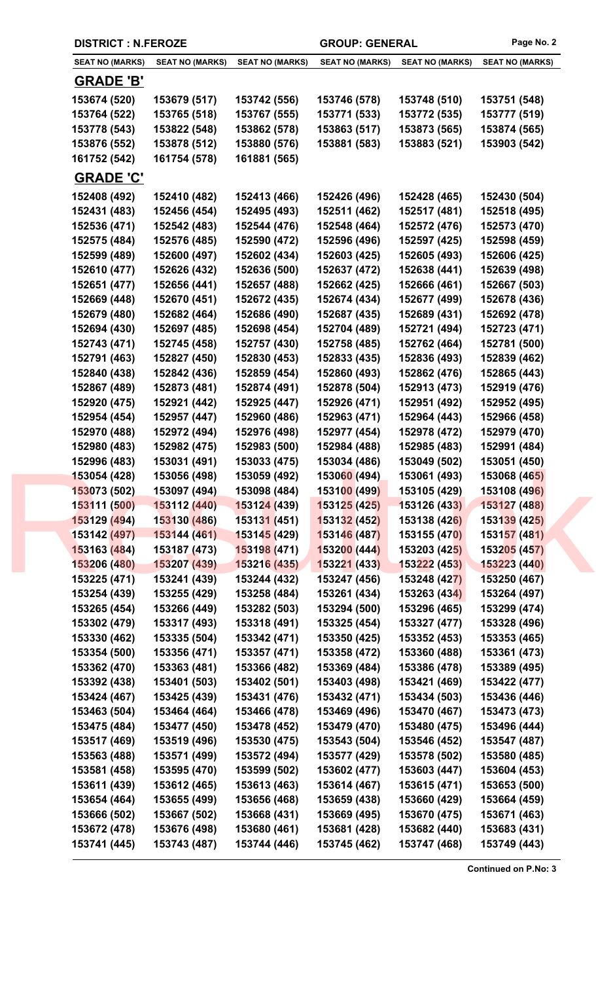|                        | <b>DISTRICT : N.FEROZE</b> |                        | <b>GROUP: GENERAL</b>  |                        | Page No. 2             |  |
|------------------------|----------------------------|------------------------|------------------------|------------------------|------------------------|--|
| <b>SEAT NO (MARKS)</b> | <b>SEAT NO (MARKS)</b>     | <b>SEAT NO (MARKS)</b> | <b>SEAT NO (MARKS)</b> | <b>SEAT NO (MARKS)</b> | <b>SEAT NO (MARKS)</b> |  |
| <b>GRADE 'B'</b>       |                            |                        |                        |                        |                        |  |
| 153674 (520)           | 153679 (517)               | 153742 (556)           | 153746 (578)           | 153748 (510)           | 153751 (548)           |  |
| 153764 (522)           | 153765 (518)               | 153767 (555)           | 153771 (533)           | 153772 (535)           | 153777 (519)           |  |
| 153778 (543)           | 153822 (548)               | 153862 (578)           | 153863 (517)           | 153873 (565)           | 153874 (565)           |  |
| 153876 (552)           | 153878 (512)               | 153880 (576)           | 153881 (583)           | 153883 (521)           | 153903 (542)           |  |
| 161752 (542)           | 161754 (578)               | 161881 (565)           |                        |                        |                        |  |
| <b>GRADE 'C'</b>       |                            |                        |                        |                        |                        |  |
| 152408 (492)           | 152410 (482)               | 152413 (466)           | 152426 (496)           | 152428 (465)           | 152430 (504)           |  |
| 152431 (483)           | 152456 (454)               | 152495 (493)           | 152511 (462)           | 152517 (481)           | 152518 (495)           |  |
| 152536 (471)           | 152542 (483)               | 152544 (476)           | 152548 (464)           | 152572 (476)           | 152573 (470)           |  |
| 152575 (484)           | 152576 (485)               | 152590 (472)           | 152596 (496)           | 152597 (425)           | 152598 (459)           |  |
| 152599 (489)           | 152600 (497)               | 152602 (434)           | 152603 (425)           | 152605 (493)           | 152606 (425)           |  |
| 152610 (477)           | 152626 (432)               | 152636 (500)           | 152637 (472)           | 152638 (441)           | 152639 (498)           |  |
| 152651 (477)           | 152656 (441)               | 152657 (488)           | 152662 (425)           | 152666 (461)           | 152667 (503)           |  |
| 152669 (448)           | 152670 (451)               | 152672 (435)           | 152674 (434)           | 152677 (499)           | 152678 (436)           |  |
| 152679 (480)           | 152682 (464)               | 152686 (490)           | 152687 (435)           | 152689 (431)           | 152692 (478)           |  |
| 152694 (430)           | 152697 (485)               | 152698 (454)           | 152704 (489)           | 152721 (494)           | 152723 (471)           |  |
| 152743 (471)           | 152745 (458)               | 152757 (430)           | 152758 (485)           | 152762 (464)           | 152781 (500)           |  |
| 152791 (463)           | 152827 (450)               | 152830 (453)           | 152833 (435)           | 152836 (493)           | 152839 (462)           |  |
| 152840 (438)           | 152842 (436)               | 152859 (454)           | 152860 (493)           | 152862 (476)           | 152865 (443)           |  |
| 152867 (489)           | 152873 (481)               | 152874 (491)           | 152878 (504)           | 152913 (473)           | 152919 (476)           |  |
| 152920 (475)           | 152921 (442)               | 152925 (447)           | 152926 (471)           | 152951 (492)           | 152952 (495)           |  |
| 152954 (454)           | 152957 (447)               | 152960 (486)           | 152963 (471)           | 152964 (443)           | 152966 (458)           |  |
| 152970 (488)           | 152972 (494)               | 152976 (498)           | 152977 (454)           | 152978 (472)           | 152979 (470)           |  |
| 152980 (483)           | 152982 (475)               | 152983 (500)           | 152984 (488)           | 152985 (483)           | 152991 (484)           |  |
| 152996 (483)           | 153031 (491)               | 153033 (475)           | 153034 (486)           | 153049 (502)           | 153051 (450)           |  |
| 153054 (428)           | 153056 (498)               | 153059 (492)           | 153060 (494)           | 153061 (493)           | 153068 (465)           |  |
| 153073 (502)           | 153097 (494)               | 153098 (484)           | 153100 (499)           | 153105 (429)           | 153108 (496)           |  |
| 153111 (500)           | 153112 (440)               | 153124 (439)           | 153125 (425)           | 153126 (433)           | 153127 (488)           |  |
| 153129 (494)           | 153130 (486)               | 153131 (451)           | 153132 (452)           | 153138 (426)           | 153139 (425)           |  |
| 153142 (497)           | 153144 (461)               | 153145 (429)           | 153146 (487)           | 153155 (470)           | 153157 (481)           |  |
| 153163 (484)           | 153187 (473)               | 153198 (471)           | 153200(444)            | 153203 (425)           | 153205 (457)           |  |
| 153206 (480)           | 153207 (439)               | 153216 (435)           | 153221 (433)           | 153222 (453)           | 153223 (440)           |  |
| 153225 (471)           | 153241 (439)               | 153244 (432)           | 153247 (456)           | 153248 (427)           | 153250 (467)           |  |
| 153254 (439)           | 153255 (429)               | 153258 (484)           | 153261 (434)           | 153263 (434)           | 153264 (497)           |  |
| 153265 (454)           | 153266 (449)               | 153282 (503)           | 153294 (500)           | 153296 (465)           | 153299 (474)           |  |
| 153302 (479)           | 153317 (493)               | 153318 (491)           | 153325 (454)           | 153327 (477)           | 153328 (496)           |  |
| 153330 (462)           | 153335 (504)               | 153342 (471)           | 153350 (425)           | 153352 (453)           | 153353 (465)           |  |
| 153354 (500)           | 153356 (471)               | 153357 (471)           | 153358 (472)           | 153360 (488)           | 153361 (473)           |  |
| 153362 (470)           | 153363 (481)               | 153366 (482)           | 153369 (484)           | 153386 (478)           | 153389 (495)           |  |
|                        | 153401 (503)               | 153402 (501)           | 153403 (498)           |                        | 153422 (477)           |  |
| 153392 (438)           |                            |                        |                        | 153421 (469)           |                        |  |
| 153424 (467)           | 153425 (439)               | 153431 (476)           | 153432 (471)           | 153434 (503)           | 153436 (446)           |  |
| 153463 (504)           | 153464 (464)               | 153466 (478)           | 153469 (496)           | 153470 (467)           | 153473 (473)           |  |
| 153475 (484)           | 153477 (450)               | 153478 (452)           | 153479 (470)           | 153480 (475)           | 153496 (444)           |  |
| 153517 (469)           | 153519 (496)               | 153530 (475)           | 153543 (504)           | 153546 (452)           | 153547 (487)           |  |
| 153563 (488)           | 153571 (499)               | 153572 (494)           | 153577 (429)           | 153578 (502)           | 153580 (485)           |  |
| 153581 (458)           | 153595 (470)               | 153599 (502)           | 153602 (477)           | 153603 (447)           | 153604 (453)           |  |
| 153611 (439)           | 153612 (465)               | 153613 (463)           | 153614 (467)           | 153615 (471)           | 153653 (500)           |  |
| 153654 (464)           | 153655 (499)               | 153656 (468)           | 153659 (438)           | 153660 (429)           | 153664 (459)           |  |
| 153666 (502)           | 153667 (502)               | 153668 (431)           | 153669 (495)           | 153670 (475)           | 153671 (463)           |  |
| 153672 (478)           | 153676 (498)               | 153680 (461)           | 153681 (428)           | 153682 (440)           | 153683 (431)           |  |
| 153741 (445)           | 153743 (487)               | 153744 (446)           | 153745 (462)           | 153747 (468)           | 153749 (443)           |  |

**Continued on P.No: 3**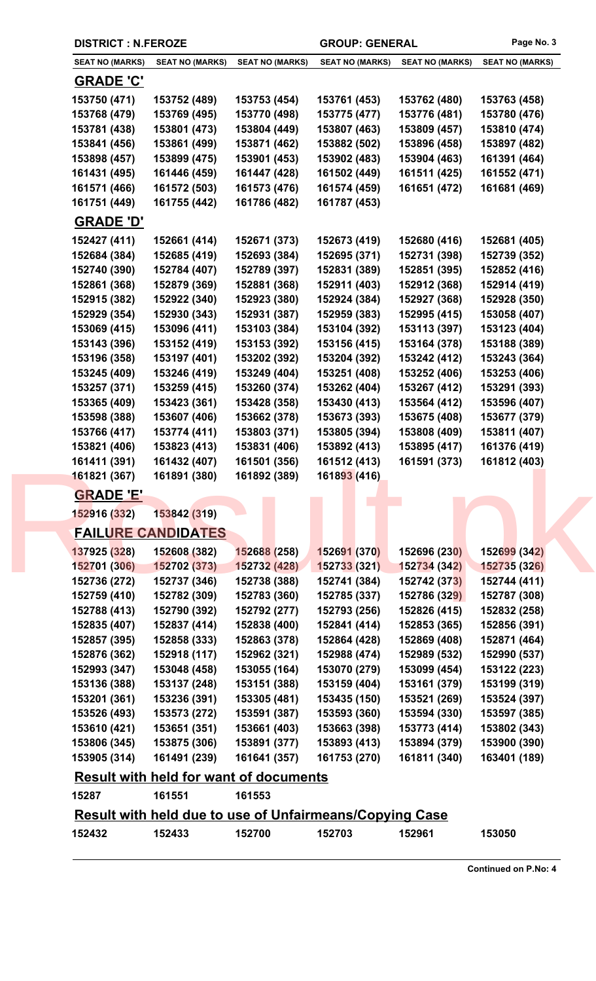|                        | <b>DISTRICT : N.FEROZE</b>                                     |                        | <b>GROUP: GENERAL</b>  |                        | Page No. 3             |  |
|------------------------|----------------------------------------------------------------|------------------------|------------------------|------------------------|------------------------|--|
| <b>SEAT NO (MARKS)</b> | <b>SEAT NO (MARKS)</b>                                         | <b>SEAT NO (MARKS)</b> | <b>SEAT NO (MARKS)</b> | <b>SEAT NO (MARKS)</b> | <b>SEAT NO (MARKS)</b> |  |
| <u>GRADE 'C'</u>       |                                                                |                        |                        |                        |                        |  |
| 153750 (471)           | 153752 (489)                                                   | 153753 (454)           | 153761 (453)           | 153762 (480)           | 153763 (458)           |  |
| 153768 (479)           | 153769 (495)                                                   | 153770 (498)           | 153775 (477)           | 153776 (481)           | 153780 (476)           |  |
| 153781 (438)           | 153801 (473)                                                   | 153804 (449)           | 153807 (463)           | 153809 (457)           | 153810 (474)           |  |
| 153841 (456)           | 153861 (499)                                                   | 153871 (462)           | 153882 (502)           | 153896 (458)           | 153897 (482)           |  |
| 153898 (457)           | 153899 (475)                                                   | 153901 (453)           | 153902 (483)           | 153904 (463)           | 161391 (464)           |  |
| 161431 (495)           | 161446 (459)                                                   | 161447 (428)           | 161502 (449)           | 161511 (425)           | 161552 (471)           |  |
| 161571 (466)           | 161572 (503)                                                   | 161573 (476)           | 161574 (459)           | 161651 (472)           | 161681 (469)           |  |
| 161751 (449)           | 161755 (442)                                                   | 161786 (482)           | 161787 (453)           |                        |                        |  |
| <b>GRADE 'D'</b>       |                                                                |                        |                        |                        |                        |  |
| 152427 (411)           | 152661 (414)                                                   | 152671 (373)           | 152673 (419)           | 152680 (416)           | 152681 (405)           |  |
| 152684 (384)           | 152685 (419)                                                   | 152693 (384)           | 152695 (371)           | 152731 (398)           | 152739 (352)           |  |
| 152740 (390)           | 152784 (407)                                                   | 152789 (397)           | 152831 (389)           | 152851 (395)           | 152852 (416)           |  |
| 152861 (368)           | 152879 (369)                                                   | 152881 (368)           | 152911 (403)           | 152912 (368)           | 152914 (419)           |  |
| 152915 (382)           | 152922 (340)                                                   | 152923 (380)           | 152924 (384)           | 152927 (368)           | 152928 (350)           |  |
| 152929 (354)           | 152930 (343)                                                   | 152931 (387)           | 152959 (383)           | 152995 (415)           | 153058 (407)           |  |
| 153069 (415)           | 153096 (411)                                                   | 153103 (384)           | 153104 (392)           | 153113 (397)           | 153123 (404)           |  |
| 153143 (396)           | 153152 (419)                                                   | 153153 (392)           | 153156 (415)           | 153164 (378)           | 153188 (389)           |  |
| 153196 (358)           | 153197 (401)                                                   | 153202 (392)           | 153204 (392)           | 153242 (412)           | 153243 (364)           |  |
| 153245 (409)           | 153246 (419)                                                   | 153249 (404)           | 153251 (408)           | 153252 (406)           | 153253 (406)           |  |
| 153257 (371)           | 153259 (415)                                                   | 153260 (374)           | 153262 (404)           | 153267 (412)           | 153291 (393)           |  |
| 153365 (409)           | 153423 (361)                                                   | 153428 (358)           | 153430 (413)           | 153564 (412)           | 153596 (407)           |  |
| 153598 (388)           | 153607 (406)                                                   | 153662 (378)           | 153673 (393)           | 153675 (408)           | 153677 (379)           |  |
| 153766 (417)           | 153774 (411)                                                   | 153803 (371)           | 153805 (394)           | 153808 (409)           | 153811 (407)           |  |
| 153821 (406)           | 153823 (413)                                                   | 153831 (406)           | 153892 (413)           | 153895 (417)           | 161376 (419)           |  |
| 161411 (391)           | 161432 (407)                                                   | 161501 (356)           | 161512 (413)           | 161591 (373)           | 161812 (403)           |  |
| 161821 (367)           | 161891 (380)                                                   | 161892 (389)           | 161893 (416)           |                        |                        |  |
| <b>GRADE 'E'</b>       |                                                                |                        |                        |                        |                        |  |
| 152916 (332)           | 153842 (319)                                                   |                        |                        |                        |                        |  |
|                        | <b>FAILURE CANDIDATES</b>                                      |                        |                        |                        |                        |  |
| 137925 (328)           | 152608 (382)                                                   | 152688 (258)           | 152691 (370)           | 152696 (230)           | 152699 (342)           |  |
| 152701 (306)           | 152702 (373)                                                   | 152732 (428)           | 152733 (321)           | 152734 (342)           | 152735 (326)           |  |
| 152736 (272)           | 152737 (346)                                                   | 152738 (388)           | 152741 (384)           | 152742 (373)           | 152744 (411)           |  |
| 152759 (410)           | 152782 (309)                                                   | 152783 (360)           | 152785 (337)           | 152786 (329)           | 152787 (308)           |  |
| 152788 (413)           | 152790 (392)                                                   | 152792 (277)           | 152793 (256)           | 152826 (415)           | 152832 (258)           |  |
| 152835 (407)           | 152837 (414)                                                   | 152838 (400)           | 152841 (414)           | 152853 (365)           | 152856 (391)           |  |
| 152857 (395)           | 152858 (333)                                                   | 152863 (378)           | 152864 (428)           | 152869 (408)           | 152871 (464)           |  |
| 152876 (362)           | 152918 (117)                                                   | 152962 (321)           | 152988 (474)           | 152989 (532)           | 152990 (537)           |  |
| 152993 (347)           | 153048 (458)                                                   | 153055 (164)           | 153070 (279)           | 153099 (454)           | 153122 (223)           |  |
| 153136 (388)           | 153137 (248)                                                   | 153151 (388)           | 153159 (404)           | 153161 (379)           | 153199 (319)           |  |
| 153201 (361)           | 153236 (391)                                                   | 153305 (481)           | 153435 (150)           | 153521 (269)           | 153524 (397)           |  |
| 153526 (493)           | 153573 (272)                                                   | 153591 (387)           | 153593 (360)           | 153594 (330)           | 153597 (385)           |  |
| 153610 (421)           | 153651 (351)                                                   | 153661 (403)           | 153663 (398)           | 153773 (414)           | 153802 (343)           |  |
| 153806 (345)           | 153875 (306)                                                   | 153891 (377)           | 153893 (413)           | 153894 (379)           | 153900 (390)           |  |
| 153905 (314)           | 161491 (239)                                                   | 161641 (357)           | 161753 (270)           | 161811 (340)           | 163401 (189)           |  |
|                        | <b>Result with held for want of documents</b>                  |                        |                        |                        |                        |  |
| 15287                  | 161551                                                         | 161553                 |                        |                        |                        |  |
|                        | <b>Result with held due to use of Unfairmeans/Copying Case</b> |                        |                        |                        |                        |  |
| 152432                 | 152433                                                         | 152700                 | 152703                 | 152961                 | 153050                 |  |
|                        |                                                                |                        |                        |                        |                        |  |

**Continued on P.No: 4**